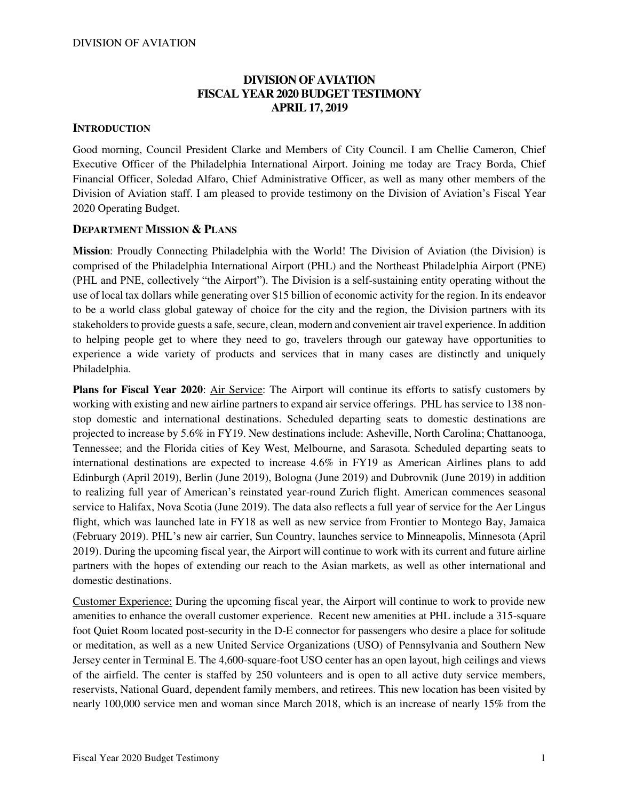### **DIVISION OF AVIATION FISCAL YEAR 2020 BUDGET TESTIMONY APRIL 17, 2019**

#### **INTRODUCTION**

Good morning, Council President Clarke and Members of City Council. I am Chellie Cameron, Chief Executive Officer of the Philadelphia International Airport. Joining me today are Tracy Borda, Chief Financial Officer, Soledad Alfaro, Chief Administrative Officer, as well as many other members of the Division of Aviation staff. I am pleased to provide testimony on the Division of Aviation's Fiscal Year 2020 Operating Budget.

#### **DEPARTMENT MISSION & PLANS**

**Mission**: Proudly Connecting Philadelphia with the World! The Division of Aviation (the Division) is comprised of the Philadelphia International Airport (PHL) and the Northeast Philadelphia Airport (PNE) (PHL and PNE, collectively "the Airport"). The Division is a self-sustaining entity operating without the use of local tax dollars while generating over \$15 billion of economic activity for the region. In its endeavor to be a world class global gateway of choice for the city and the region, the Division partners with its stakeholders to provide guests a safe, secure, clean, modern and convenient air travel experience. In addition to helping people get to where they need to go, travelers through our gateway have opportunities to experience a wide variety of products and services that in many cases are distinctly and uniquely Philadelphia.

**Plans for Fiscal Year 2020**: Air Service: The Airport will continue its efforts to satisfy customers by working with existing and new airline partners to expand air service offerings. PHL has service to 138 nonstop domestic and international destinations. Scheduled departing seats to domestic destinations are projected to increase by 5.6% in FY19. New destinations include: Asheville, North Carolina; Chattanooga, Tennessee; and the Florida cities of Key West, Melbourne, and Sarasota. Scheduled departing seats to international destinations are expected to increase 4.6% in FY19 as American Airlines plans to add Edinburgh (April 2019), Berlin (June 2019), Bologna (June 2019) and Dubrovnik (June 2019) in addition to realizing full year of American's reinstated year-round Zurich flight. American commences seasonal service to Halifax, Nova Scotia (June 2019). The data also reflects a full year of service for the Aer Lingus flight, which was launched late in FY18 as well as new service from Frontier to Montego Bay, Jamaica (February 2019). PHL's new air carrier, Sun Country, launches service to Minneapolis, Minnesota (April 2019). During the upcoming fiscal year, the Airport will continue to work with its current and future airline partners with the hopes of extending our reach to the Asian markets, as well as other international and domestic destinations.

Customer Experience: During the upcoming fiscal year, the Airport will continue to work to provide new amenities to enhance the overall customer experience. Recent new amenities at PHL include a 315-square foot Quiet Room located post-security in the D-E connector for passengers who desire a place for solitude or meditation, as well as a new United Service Organizations (USO) of Pennsylvania and Southern New Jersey center in Terminal E. The 4,600-square-foot USO center has an open layout, high ceilings and views of the airfield. The center is staffed by 250 volunteers and is open to all active duty service members, reservists, National Guard, dependent family members, and retirees. This new location has been visited by nearly 100,000 service men and woman since March 2018, which is an increase of nearly 15% from the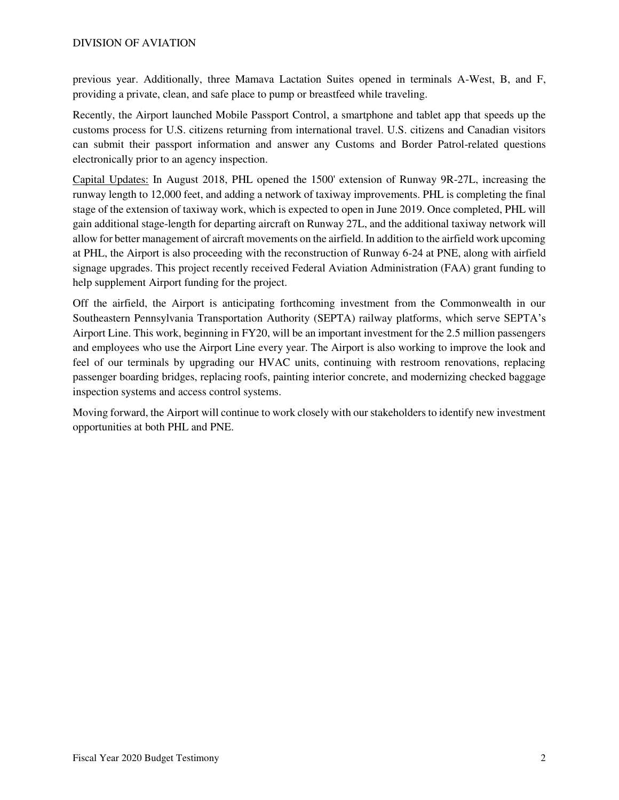previous year. Additionally, three Mamava Lactation Suites opened in terminals A-West, B, and F, providing a private, clean, and safe place to pump or breastfeed while traveling.

Recently, the Airport launched Mobile Passport Control, a smartphone and tablet app that speeds up the customs process for U.S. citizens returning from international travel. U.S. citizens and Canadian visitors can submit their passport information and answer any Customs and Border Patrol-related questions electronically prior to an agency inspection.

Capital Updates: In August 2018, PHL opened the 1500' extension of Runway 9R-27L, increasing the runway length to 12,000 feet, and adding a network of taxiway improvements. PHL is completing the final stage of the extension of taxiway work, which is expected to open in June 2019. Once completed, PHL will gain additional stage-length for departing aircraft on Runway 27L, and the additional taxiway network will allow for better management of aircraft movements on the airfield. In addition to the airfield work upcoming at PHL, the Airport is also proceeding with the reconstruction of Runway 6-24 at PNE, along with airfield signage upgrades. This project recently received Federal Aviation Administration (FAA) grant funding to help supplement Airport funding for the project.

Off the airfield, the Airport is anticipating forthcoming investment from the Commonwealth in our Southeastern Pennsylvania Transportation Authority (SEPTA) railway platforms, which serve SEPTA's Airport Line. This work, beginning in FY20, will be an important investment for the 2.5 million passengers and employees who use the Airport Line every year. The Airport is also working to improve the look and feel of our terminals by upgrading our HVAC units, continuing with restroom renovations, replacing passenger boarding bridges, replacing roofs, painting interior concrete, and modernizing checked baggage inspection systems and access control systems.

Moving forward, the Airport will continue to work closely with our stakeholders to identify new investment opportunities at both PHL and PNE.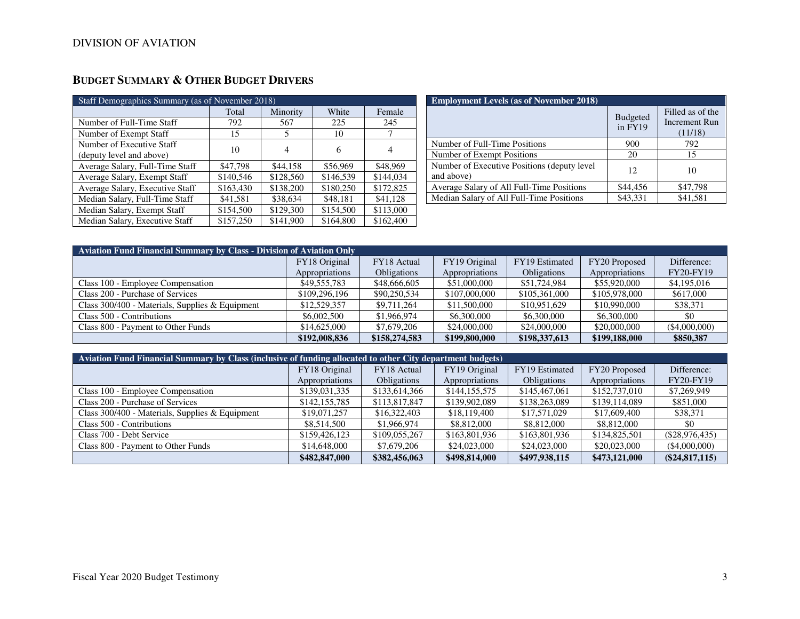| Staff Demographics Summary (as of November 2018) |           |           |           |           |  |  |  |  |  |
|--------------------------------------------------|-----------|-----------|-----------|-----------|--|--|--|--|--|
|                                                  | Total     | Minority  | White     | Female    |  |  |  |  |  |
| Number of Full-Time Staff                        | 792       | 567       | 225       | 245       |  |  |  |  |  |
| Number of Exempt Staff                           | 15        | 5         | 10        |           |  |  |  |  |  |
| Number of Executive Staff                        | 10        | 4         | 6         | 4         |  |  |  |  |  |
| (deputy level and above)                         |           |           |           |           |  |  |  |  |  |
| Average Salary, Full-Time Staff                  | \$47,798  | \$44,158  | \$56,969  | \$48,969  |  |  |  |  |  |
| Average Salary, Exempt Staff                     | \$140,546 | \$128,560 | \$146,539 | \$144,034 |  |  |  |  |  |
| Average Salary, Executive Staff                  | \$163,430 | \$138,200 | \$180,250 | \$172,825 |  |  |  |  |  |
| Median Salary, Full-Time Staff                   | \$41,581  | \$38,634  | \$48,181  | \$41,128  |  |  |  |  |  |
| Median Salary, Exempt Staff                      | \$154,500 | \$129,300 | \$154,500 | \$113,000 |  |  |  |  |  |
| Median Salary, Executive Staff                   | \$157,250 | \$141,900 | \$164,800 | \$162,400 |  |  |  |  |  |

## **BUDGET SUMMARY & OTHER BUDGET DRIVERS**

| <b>Employment Levels (as of November 2018)</b>             |                            |                                                     |  |  |  |  |  |  |
|------------------------------------------------------------|----------------------------|-----------------------------------------------------|--|--|--|--|--|--|
|                                                            | <b>Budgeted</b><br>in FY19 | Filled as of the<br><b>Increment Run</b><br>(11/18) |  |  |  |  |  |  |
| Number of Full-Time Positions                              | 900                        | 792                                                 |  |  |  |  |  |  |
| Number of Exempt Positions                                 | 20                         | 15                                                  |  |  |  |  |  |  |
| Number of Executive Positions (deputy level)<br>and above) | 12                         | 10                                                  |  |  |  |  |  |  |
| Average Salary of All Full-Time Positions                  | \$44,456                   | \$47,798                                            |  |  |  |  |  |  |
| Median Salary of All Full-Time Positions                   | \$43.331                   | \$41.581                                            |  |  |  |  |  |  |

| <b>Aviation Fund Financial Summary by Class - Division of Aviation Only</b> |                |                    |                |                    |                |                  |  |  |  |  |
|-----------------------------------------------------------------------------|----------------|--------------------|----------------|--------------------|----------------|------------------|--|--|--|--|
|                                                                             | FY18 Original  | FY18 Actual        | FY19 Original  | FY19 Estimated     | FY20 Proposed  | Difference:      |  |  |  |  |
|                                                                             | Appropriations | <b>Obligations</b> | Appropriations | <b>Obligations</b> | Appropriations | <b>FY20-FY19</b> |  |  |  |  |
| Class 100 - Employee Compensation                                           | \$49,555,783   | \$48,666,605       | \$51,000,000   | \$51,724,984       | \$55,920,000   | \$4,195,016      |  |  |  |  |
| Class 200 - Purchase of Services                                            | \$109,296,196  | \$90,250,534       | \$107,000,000  | \$105,361,000      | \$105,978,000  | \$617,000        |  |  |  |  |
| Class 300/400 - Materials, Supplies & Equipment                             | \$12,529,357   | \$9,711,264        | \$11,500,000   | \$10,951,629       | \$10,990,000   | \$38,371         |  |  |  |  |
| Class 500 - Contributions                                                   | \$6,002,500    | \$1,966,974        | \$6,300,000    | \$6,300,000        | \$6,300,000    | \$0              |  |  |  |  |
| Class 800 - Payment to Other Funds                                          | \$14,625,000   | \$7,679,206        | \$24,000,000   | \$24,000,000       | \$20,000,000   | $($ \$4,000,000) |  |  |  |  |
|                                                                             | \$192,008,836  | \$158,274,583      | \$199,800,000  | \$198,337,613      | \$199,188,000  | \$850,387        |  |  |  |  |

| Aviation Fund Financial Summary by Class (inclusive of funding allocated to other City department budgets) |                |                    |                |                    |                |                  |  |  |  |  |
|------------------------------------------------------------------------------------------------------------|----------------|--------------------|----------------|--------------------|----------------|------------------|--|--|--|--|
|                                                                                                            | FY18 Original  | FY18 Actual        | FY19 Original  | FY19 Estimated     | FY20 Proposed  | Difference:      |  |  |  |  |
|                                                                                                            | Appropriations | <b>Obligations</b> | Appropriations | <b>Obligations</b> | Appropriations | FY20-FY19        |  |  |  |  |
| Class 100 - Employee Compensation                                                                          | \$139,031,335  | \$133,614,366      | \$144,155,575  | \$145,467,061      | \$152,737,010  | \$7,269,949      |  |  |  |  |
| Class 200 - Purchase of Services                                                                           | \$142,155,785  | \$113,817,847      | \$139,902,089  | \$138,263,089      | \$139,114,089  | \$851,000        |  |  |  |  |
| Class 300/400 - Materials, Supplies & Equipment                                                            | \$19,071,257   | \$16,322,403       | \$18,119,400   | \$17,571,029       | \$17,609,400   | \$38,371         |  |  |  |  |
| Class 500 - Contributions                                                                                  | \$8,514,500    | \$1,966,974        | \$8,812,000    | \$8,812,000        | \$8,812,000    | \$0              |  |  |  |  |
| Class 700 - Debt Service                                                                                   | \$159,426,123  | \$109,055,267      | \$163,801,936  | \$163,801,936      | \$134,825,501  | $(\$28,976,435)$ |  |  |  |  |
| Class 800 - Payment to Other Funds                                                                         | \$14,648,000   | \$7,679,206        | \$24,023,000   | \$24,023,000       | \$20,023,000   | (\$4,000,000)    |  |  |  |  |
|                                                                                                            | \$482,847,000  | \$382,456,063      | \$498,814,000  | \$497,938,115      | \$473,121,000  | $(\$24,817,115)$ |  |  |  |  |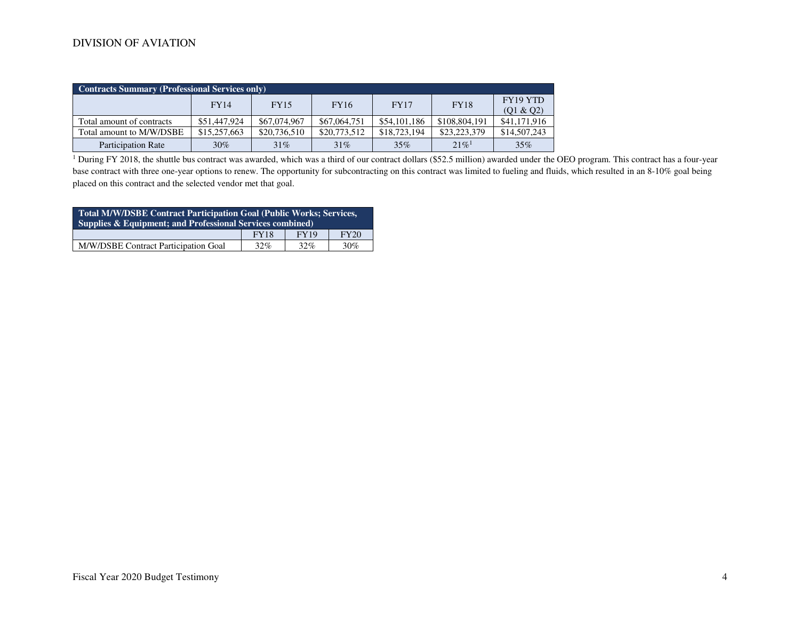| <b>Contracts Summary (Professional Services only)</b> |              |              |              |              |                      |                       |  |  |  |  |
|-------------------------------------------------------|--------------|--------------|--------------|--------------|----------------------|-----------------------|--|--|--|--|
|                                                       | <b>FY14</b>  | <b>FY15</b>  | <b>FY16</b>  | <b>FY17</b>  | <b>FY18</b>          | FY19 YTD<br>(Q1 & Q2) |  |  |  |  |
| Total amount of contracts                             | \$51,447,924 | \$67,074,967 | \$67,064,751 | \$54,101,186 | \$108,804,191        | \$41,171,916          |  |  |  |  |
| Total amount to M/W/DSBE                              | \$15,257,663 | \$20,736,510 | \$20,773,512 | \$18,723,194 | \$23,223,379         | \$14,507,243          |  |  |  |  |
| <b>Participation Rate</b>                             | 30%          | 31%          | 31%          | 35%          | $2.1\%$ <sup>1</sup> | 35%                   |  |  |  |  |

<sup>1</sup> During FY 2018, the shuttle bus contract was awarded, which was a third of our contract dollars (\$52.5 million) awarded under the OEO program. This contract has a four-year base contract with three one-year options to renew. The opportunity for subcontracting on this contract was limited to fueling and fluids, which resulted in an 8-10% goal being placed on this contract and the selected vendor met that goal.

| Total M/W/DSBE Contract Participation Goal (Public Works; Services,<br>Supplies & Equipment; and Professional Services combined) |             |             |             |  |  |  |  |
|----------------------------------------------------------------------------------------------------------------------------------|-------------|-------------|-------------|--|--|--|--|
|                                                                                                                                  | <b>FY18</b> | <b>FY19</b> | <b>FY20</b> |  |  |  |  |
| M/W/DSBE Contract Participation Goal                                                                                             | 32%         | 32%         | 30%         |  |  |  |  |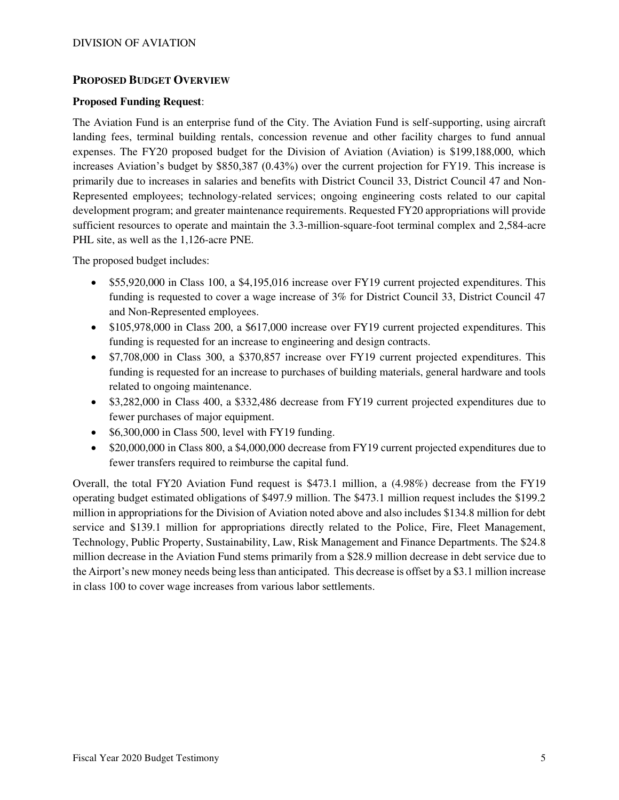#### **PROPOSED BUDGET OVERVIEW**

#### **Proposed Funding Request**:

The Aviation Fund is an enterprise fund of the City. The Aviation Fund is self-supporting, using aircraft landing fees, terminal building rentals, concession revenue and other facility charges to fund annual expenses. The FY20 proposed budget for the Division of Aviation (Aviation) is \$199,188,000, which increases Aviation's budget by \$850,387 (0.43%) over the current projection for FY19. This increase is primarily due to increases in salaries and benefits with District Council 33, District Council 47 and Non-Represented employees; technology-related services; ongoing engineering costs related to our capital development program; and greater maintenance requirements. Requested FY20 appropriations will provide sufficient resources to operate and maintain the 3.3-million-square-foot terminal complex and 2,584-acre PHL site, as well as the 1,126-acre PNE.

The proposed budget includes:

- \$55,920,000 in Class 100, a \$4,195,016 increase over FY19 current projected expenditures. This funding is requested to cover a wage increase of 3% for District Council 33, District Council 47 and Non-Represented employees.
- \$105,978,000 in Class 200, a \$617,000 increase over FY19 current projected expenditures. This funding is requested for an increase to engineering and design contracts.
- \$7,708,000 in Class 300, a \$370,857 increase over FY19 current projected expenditures. This funding is requested for an increase to purchases of building materials, general hardware and tools related to ongoing maintenance.
- \$3,282,000 in Class 400, a \$332,486 decrease from FY19 current projected expenditures due to fewer purchases of major equipment.
- \$6,300,000 in Class 500, level with FY19 funding.
- \$20,000,000 in Class 800, a \$4,000,000 decrease from FY19 current projected expenditures due to fewer transfers required to reimburse the capital fund.

Overall, the total FY20 Aviation Fund request is \$473.1 million, a (4.98%) decrease from the FY19 operating budget estimated obligations of \$497.9 million. The \$473.1 million request includes the \$199.2 million in appropriations for the Division of Aviation noted above and also includes \$134.8 million for debt service and \$139.1 million for appropriations directly related to the Police, Fire, Fleet Management, Technology, Public Property, Sustainability, Law, Risk Management and Finance Departments. The \$24.8 million decrease in the Aviation Fund stems primarily from a \$28.9 million decrease in debt service due to the Airport's new money needs being less than anticipated. This decrease is offset by a \$3.1 million increase in class 100 to cover wage increases from various labor settlements.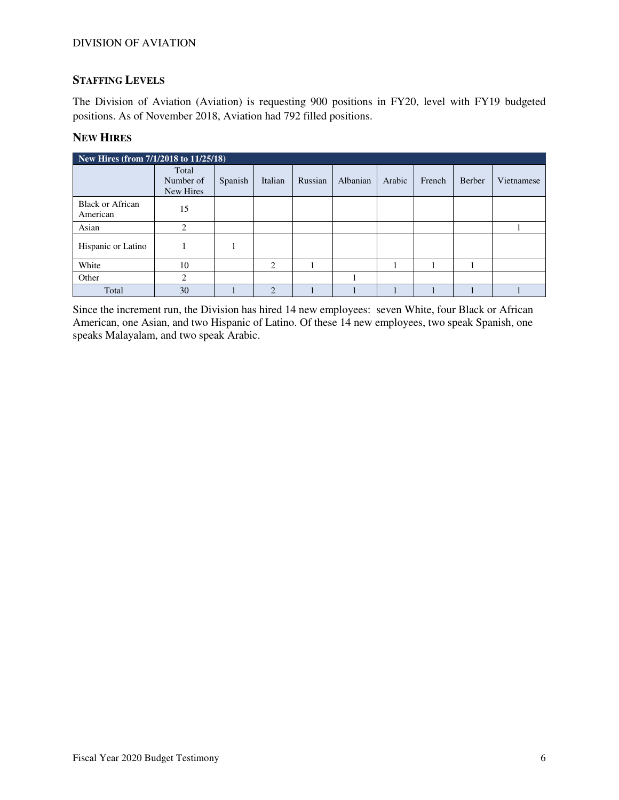### **STAFFING LEVELS**

The Division of Aviation (Aviation) is requesting 900 positions in FY20, level with FY19 budgeted positions. As of November 2018, Aviation had 792 filled positions.

#### **NEW HIRES**

| New Hires (from 7/1/2018 to 11/25/18) |                                 |         |                |         |          |        |        |        |            |
|---------------------------------------|---------------------------------|---------|----------------|---------|----------|--------|--------|--------|------------|
|                                       | Total<br>Number of<br>New Hires | Spanish | Italian        | Russian | Albanian | Arabic | French | Berber | Vietnamese |
| <b>Black or African</b><br>American   | 15                              |         |                |         |          |        |        |        |            |
| Asian                                 | ∍                               |         |                |         |          |        |        |        |            |
| Hispanic or Latino                    |                                 |         |                |         |          |        |        |        |            |
| White                                 | 10                              |         | 2              |         |          |        |        |        |            |
| Other                                 | ∍                               |         |                |         |          |        |        |        |            |
| Total                                 | 30                              |         | $\overline{2}$ |         |          |        |        |        |            |

Since the increment run, the Division has hired 14 new employees: seven White, four Black or African American, one Asian, and two Hispanic of Latino. Of these 14 new employees, two speak Spanish, one speaks Malayalam, and two speak Arabic.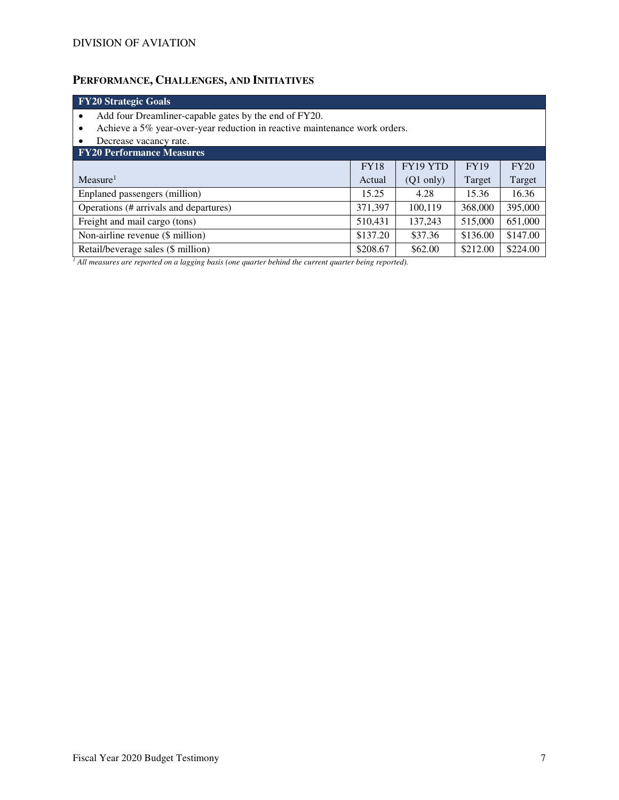# **PERFORMANCE, CHALLENGES, AND INITIATIVES**

| <b>FY20 Strategic Goals</b>                                                     |                     |             |          |  |  |  |  |  |
|---------------------------------------------------------------------------------|---------------------|-------------|----------|--|--|--|--|--|
| Add four Dreamliner-capable gates by the end of FY20.<br>٠                      |                     |             |          |  |  |  |  |  |
| Achieve a 5% year-over-year reduction in reactive maintenance work orders.<br>٠ |                     |             |          |  |  |  |  |  |
| Decrease vacancy rate.<br>٠                                                     |                     |             |          |  |  |  |  |  |
|                                                                                 |                     |             |          |  |  |  |  |  |
| <b>FY18</b>                                                                     | FY19 YTD            | <b>FY19</b> | FY20     |  |  |  |  |  |
| Actual                                                                          | $(Q1 \text{ only})$ | Target      | Target   |  |  |  |  |  |
| 15.25                                                                           | 4.28                | 15.36       | 16.36    |  |  |  |  |  |
| 371,397                                                                         | 100,119             | 368,000     | 395,000  |  |  |  |  |  |
| 510,431                                                                         | 137,243             | 515,000     | 651,000  |  |  |  |  |  |
| Non-airline revenue (\$ million)<br>\$147.00<br>\$137.20<br>\$37.36<br>\$136.00 |                     |             |          |  |  |  |  |  |
| \$208.67                                                                        | \$62.00             | \$212.00    | \$224.00 |  |  |  |  |  |
|                                                                                 |                     |             |          |  |  |  |  |  |

*1 All measures are reported on a lagging basis (one quarter behind the current quarter being reported).*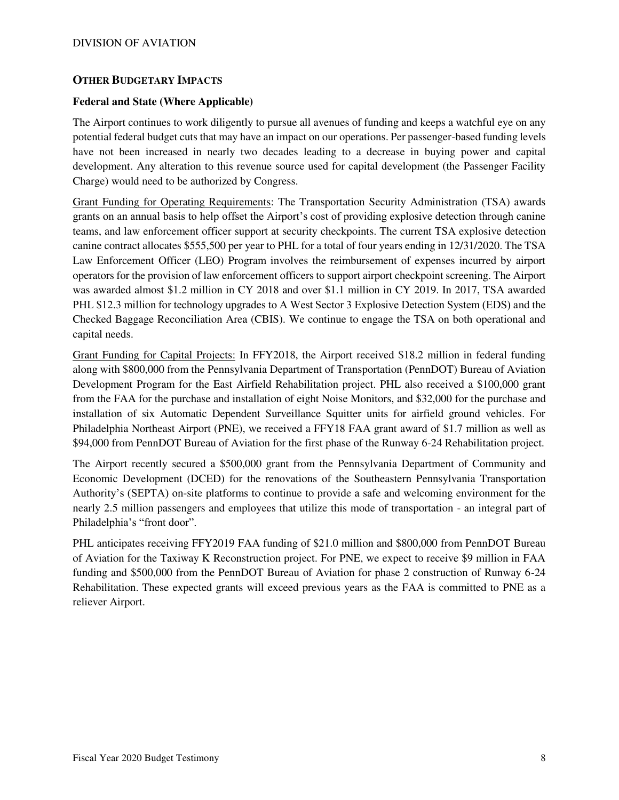#### **OTHER BUDGETARY IMPACTS**

#### **Federal and State (Where Applicable)**

The Airport continues to work diligently to pursue all avenues of funding and keeps a watchful eye on any potential federal budget cuts that may have an impact on our operations. Per passenger-based funding levels have not been increased in nearly two decades leading to a decrease in buying power and capital development. Any alteration to this revenue source used for capital development (the Passenger Facility Charge) would need to be authorized by Congress.

Grant Funding for Operating Requirements: The Transportation Security Administration (TSA) awards grants on an annual basis to help offset the Airport's cost of providing explosive detection through canine teams, and law enforcement officer support at security checkpoints. The current TSA explosive detection canine contract allocates \$555,500 per year to PHL for a total of four years ending in 12/31/2020. The TSA Law Enforcement Officer (LEO) Program involves the reimbursement of expenses incurred by airport operators for the provision of law enforcement officers to support airport checkpoint screening. The Airport was awarded almost \$1.2 million in CY 2018 and over \$1.1 million in CY 2019. In 2017, TSA awarded PHL \$12.3 million for technology upgrades to A West Sector 3 Explosive Detection System (EDS) and the Checked Baggage Reconciliation Area (CBIS). We continue to engage the TSA on both operational and capital needs.

Grant Funding for Capital Projects: In FFY2018, the Airport received \$18.2 million in federal funding along with \$800,000 from the Pennsylvania Department of Transportation (PennDOT) Bureau of Aviation Development Program for the East Airfield Rehabilitation project. PHL also received a \$100,000 grant from the FAA for the purchase and installation of eight Noise Monitors, and \$32,000 for the purchase and installation of six Automatic Dependent Surveillance Squitter units for airfield ground vehicles. For Philadelphia Northeast Airport (PNE), we received a FFY18 FAA grant award of \$1.7 million as well as \$94,000 from PennDOT Bureau of Aviation for the first phase of the Runway 6-24 Rehabilitation project.

The Airport recently secured a \$500,000 grant from the Pennsylvania Department of Community and Economic Development (DCED) for the renovations of the Southeastern Pennsylvania Transportation Authority's (SEPTA) on-site platforms to continue to provide a safe and welcoming environment for the nearly 2.5 million passengers and employees that utilize this mode of transportation - an integral part of Philadelphia's "front door".

PHL anticipates receiving FFY2019 FAA funding of \$21.0 million and \$800,000 from PennDOT Bureau of Aviation for the Taxiway K Reconstruction project. For PNE, we expect to receive \$9 million in FAA funding and \$500,000 from the PennDOT Bureau of Aviation for phase 2 construction of Runway 6-24 Rehabilitation. These expected grants will exceed previous years as the FAA is committed to PNE as a reliever Airport.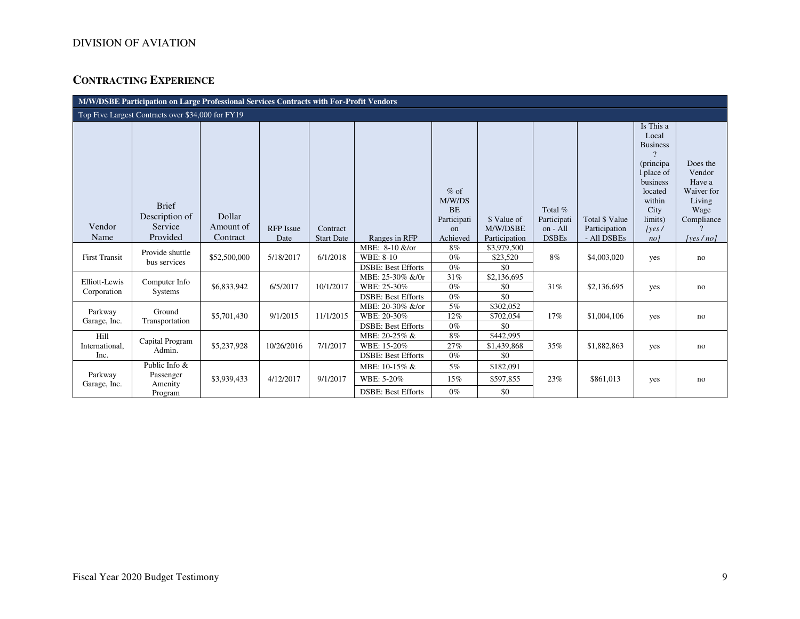## **CONTRACTING EXPERIENCE**

| M/W/DSBE Participation on Large Professional Services Contracts with For-Profit Vendors |                                                     |                     |                  |                   |                                                              |                               |                                        |                         |                                        |                                                                                                                             |                                                              |
|-----------------------------------------------------------------------------------------|-----------------------------------------------------|---------------------|------------------|-------------------|--------------------------------------------------------------|-------------------------------|----------------------------------------|-------------------------|----------------------------------------|-----------------------------------------------------------------------------------------------------------------------------|--------------------------------------------------------------|
|                                                                                         | Top Five Largest Contracts over \$34,000 for FY19   |                     |                  |                   |                                                              |                               |                                        |                         |                                        |                                                                                                                             |                                                              |
|                                                                                         | <b>Brief</b>                                        |                     |                  |                   |                                                              | $%$ of<br>M/W/DS<br><b>BE</b> |                                        | Total %                 |                                        | Is This a<br>Local<br><b>Business</b><br>$\mathcal{P}$<br>(principa)<br>1 place of<br>business<br>located<br>within<br>City | Does the<br>Vendor<br>Have a<br>Waiver for<br>Living<br>Wage |
| Vendor                                                                                  | Description of<br>Service                           | Dollar<br>Amount of | <b>RFP</b> Issue | Contract          |                                                              | Participati<br>on             | \$ Value of<br>M/W/DSBE                | Participati<br>on - All | <b>Total \$ Value</b><br>Participation | limits)<br> yes                                                                                                             | Compliance                                                   |
| Name                                                                                    | Provided                                            | Contract            | Date             | <b>Start Date</b> | Ranges in RFP                                                | Achieved                      | Participation                          | <b>DSBEs</b>            | - All DSBEs                            | no <sub>l</sub>                                                                                                             | [yes/no]                                                     |
| <b>First Transit</b>                                                                    | Provide shuttle<br>bus services                     | \$52,500,000        | 5/18/2017        | 6/1/2018          | MBE: 8-10 &/or<br>WBE: 8-10<br><b>DSBE: Best Efforts</b>     | 8%<br>$0\%$<br>$0\%$          | \$3,979,500<br>\$23,520<br>\$0         | 8%                      | \$4,003,020                            | yes                                                                                                                         | no                                                           |
| Elliott-Lewis<br>Corporation                                                            | Computer Info<br><b>Systems</b>                     | \$6,833,942         | 6/5/2017         | 10/1/2017         | MBE: 25-30% &/0r<br>WBE: 25-30%<br><b>DSBE: Best Efforts</b> | 31%<br>$0\%$<br>$0\%$         | $\overline{\$2,136,695}$<br>\$0<br>\$0 | 31%                     | \$2,136,695                            | yes                                                                                                                         | no                                                           |
| Parkway<br>Garage, Inc.                                                                 | Ground<br>Transportation                            | \$5,701,430         | 9/1/2015         | 11/1/2015         | MBE: 20-30% &/or<br>WBE: 20-30%<br><b>DSBE: Best Efforts</b> | 5%<br>$12\%$<br>$0\%$         | \$302,052<br>\$702,054<br>\$0          | 17%                     | \$1,004,106                            | yes                                                                                                                         | no                                                           |
| Hill<br>International,<br>Inc.                                                          | Capital Program<br>Admin.                           | \$5,237,928         | 10/26/2016       | 7/1/2017          | MBE: 20-25% &<br>WBE: 15-20%<br><b>DSBE: Best Efforts</b>    | $8\%$<br>27%<br>$0\%$         | \$442,995<br>\$1,439,868<br>\$0        | 35%                     | \$1,882,863                            | yes                                                                                                                         | no                                                           |
| Parkway<br>Garage, Inc.                                                                 | Public Info $\&$<br>Passenger<br>Amenity<br>Program | \$3,939,433         | 4/12/2017        | 9/1/2017          | MBE: 10-15% &<br>WBE: 5-20%<br><b>DSBE: Best Efforts</b>     | 5%<br>15%<br>$0\%$            | \$182,091<br>\$597,855<br>\$0          | 23%                     | \$861,013                              | yes                                                                                                                         | no                                                           |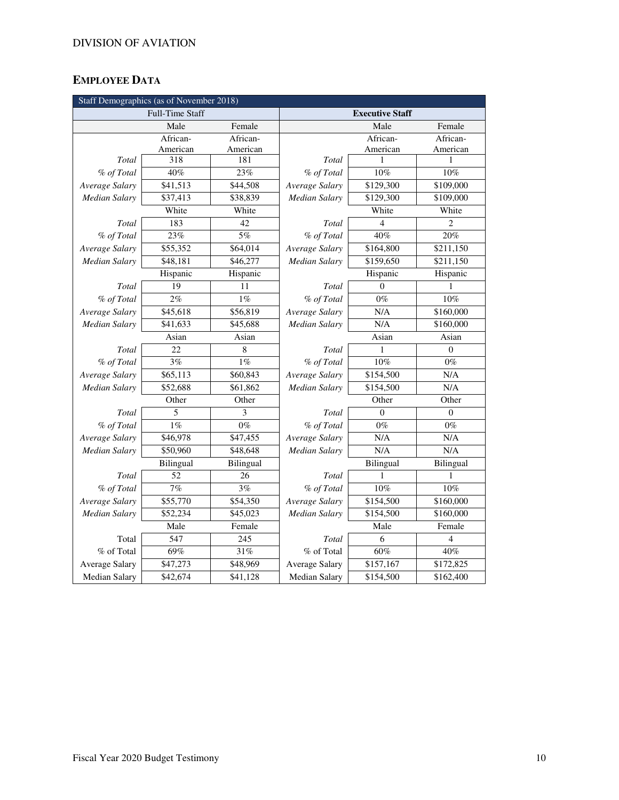## **EMPLOYEE DATA**

| Staff Demographics (as of November 2018) |                        |           |                       |                        |                  |  |  |  |
|------------------------------------------|------------------------|-----------|-----------------------|------------------------|------------------|--|--|--|
|                                          | <b>Full-Time Staff</b> |           |                       | <b>Executive Staff</b> |                  |  |  |  |
|                                          | Male                   | Female    |                       | Male                   | Female           |  |  |  |
|                                          | African-               | African-  |                       | African-               | African-         |  |  |  |
|                                          | American               | American  |                       | American               | American         |  |  |  |
| Total                                    | 318                    | 181       | Total                 | 1                      | 1                |  |  |  |
| % of Total                               | 40%                    | 23%       | % of Total            | 10%                    | 10%              |  |  |  |
| Average Salary                           | \$41,513               | \$44,508  | Average Salary        | \$129,300              | \$109,000        |  |  |  |
| Median Salary                            | \$37,413               | \$38,839  | <b>Median Salary</b>  | \$129,300              | \$109,000        |  |  |  |
|                                          | White                  | White     |                       | White                  | White            |  |  |  |
| Total                                    | 183                    | 42        | Total                 | $\overline{4}$         | $\overline{c}$   |  |  |  |
| % of Total                               | 23%                    | 5%        | % of Total            | 40%                    | 20%              |  |  |  |
| Average Salary                           | \$55,352               | \$64,014  | Average Salary        | \$164,800              | \$211,150        |  |  |  |
| <b>Median Salary</b>                     | \$48,181               | \$46,277  | Median Salary         | \$159,650              | \$211,150        |  |  |  |
|                                          | Hispanic               | Hispanic  |                       | Hispanic               | Hispanic         |  |  |  |
| Total                                    | 19                     | 11        | Total                 | $\Omega$               | 1                |  |  |  |
| % of Total                               | 2%                     | $1\%$     | % of Total            | $0\%$                  | 10%              |  |  |  |
| Average Salary                           | \$45,618               | \$56,819  | Average Salary        | N/A                    | \$160,000        |  |  |  |
| <b>Median Salary</b>                     | \$41,633               | \$45,688  | <b>Median Salary</b>  | N/A                    | \$160,000        |  |  |  |
|                                          | Asian<br>Asian         |           | Asian<br>Asian        |                        |                  |  |  |  |
| Total                                    | 22                     | $\,8\,$   | Total                 | 1                      | $\boldsymbol{0}$ |  |  |  |
| % of Total                               | 3%                     | 1%        | % of Total            | 10%                    | $0\%$            |  |  |  |
| Average Salary                           | \$65,113               | \$60,843  | Average Salary        | \$154,500              | N/A              |  |  |  |
| Median Salarv                            | \$52,688               | \$61,862  | Median Salary         | \$154,500              | N/A              |  |  |  |
|                                          | Other                  | Other     | Other                 |                        | Other            |  |  |  |
| Total                                    | 5                      | 3         | Total                 | $\Omega$               | $\Omega$         |  |  |  |
| % of Total                               | $1\%$                  | $0\%$     | % of Total            | $0\%$                  | $0\%$            |  |  |  |
| Average Salary                           | \$46,978               | \$47,455  | Average Salary        | N/A                    | N/A              |  |  |  |
| <b>Median Salary</b>                     | \$50,960               | \$48,648  | Median Salary         | N/A                    | N/A              |  |  |  |
|                                          | Bilingual              | Bilingual |                       | Bilingual              | Bilingual        |  |  |  |
| Total                                    | 52                     | 26        | Total                 | 1                      | 1                |  |  |  |
| % of Total                               | 7%                     | 3%        | % of Total            | $10\%$                 | 10%              |  |  |  |
| Average Salary                           | \$55,770               | \$54,350  | Average Salary        | \$154,500              | \$160,000        |  |  |  |
| <b>Median Salary</b>                     | \$52,234               | \$45,023  | <b>Median Salary</b>  | \$154,500              | \$160,000        |  |  |  |
|                                          | Male                   | Female    |                       | Male                   | Female           |  |  |  |
| Total                                    | 547                    | 245       | Total                 | 6                      | 4                |  |  |  |
| % of Total                               | 69%                    | 31%       | % of Total            | 60%                    | 40%              |  |  |  |
| <b>Average Salary</b>                    | \$47,273               | \$48,969  | <b>Average Salary</b> | \$157,167              | \$172,825        |  |  |  |
| <b>Median Salary</b>                     | \$42,674               | \$41,128  | Median Salary         | \$154,500              | \$162,400        |  |  |  |